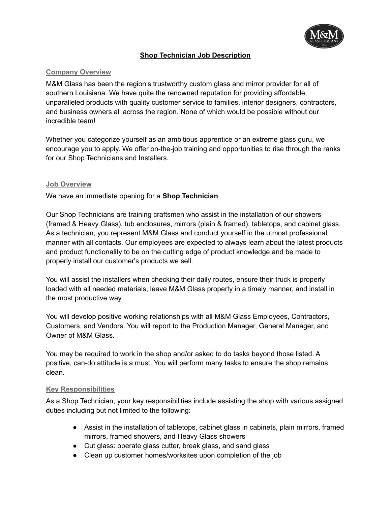

## **Shop Technician Job Description**

## **Company Overview**

M&M Glass has been the region's trustworthy custom glass and mirror provider for all of southern Louisiana. We have quite the renowned reputation for providing affordable, unparalleled products with quality customer service to families, interior designers, contractors, and business owners all across the region. None of which would be possible without our incredible team!

Whether you categorize yourself as an ambitious apprentice or an extreme glass guru, we encourage you to apply. We offer on-the-job training and opportunities to rise through the ranks for our Shop Technicians and Installers.

### **Job Overview**

We have an immediate opening for a **Shop Technician**.

Our Shop Technicians are training craftsmen who assist in the installation of our showers (framed & Heavy Glass), tub enclosures, mirrors (plain & framed), tabletops, and cabinet glass. As a technician, you represent M&M Glass and conduct yourself in the utmost professional manner with all contacts. Our employees are expected to always learn about the latest products and product functionality to be on the cutting edge of product knowledge and be made to properly install our customer's products we sell.

You will assist the installers when checking their daily routes, ensure their truck is properly loaded with all needed materials, leave M&M Glass property in a timely manner, and install in the most productive way.

You will develop positive working relationships with all M&M Glass Employees, Contractors, Customers, and Vendors. You will report to the Production Manager, General Manager, and Owner of M&M Glass.

You may be required to work in the shop and/or asked to do tasks beyond those listed. A positive, can-do attitude is a must. You will perform many tasks to ensure the shop remains clean.

### **Key Responsibilities**

As a Shop Technician, your key responsibilities include assisting the shop with various assigned duties including but not limited to the following:

- Assist in the installation of tabletops, cabinet glass in cabinets, plain mirrors, framed mirrors, framed showers, and Heavy Glass showers
- Cut glass: operate glass cutter, break glass, and sand glass
- Clean up customer homes/worksites upon completion of the job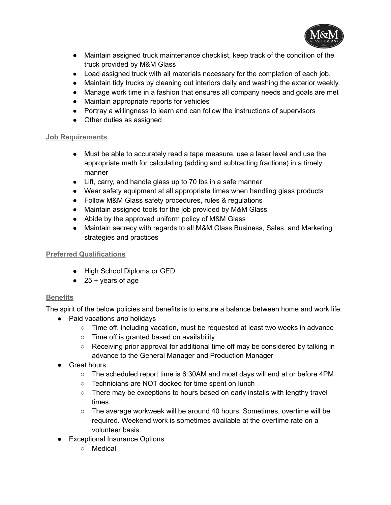

- Maintain assigned truck maintenance checklist, keep track of the condition of the truck provided by M&M Glass
- Load assigned truck with all materials necessary for the completion of each job.
- Maintain tidy trucks by cleaning out interiors daily and washing the exterior weekly.
- Manage work time in a fashion that ensures all company needs and goals are met
- Maintain appropriate reports for vehicles
- Portray a willingness to learn and can follow the instructions of supervisors
- Other duties as assigned

## **Job Requirements**

- Must be able to accurately read a tape measure, use a laser level and use the appropriate math for calculating (adding and subtracting fractions) in a timely manner
- Lift, carry, and handle glass up to 70 lbs in a safe manner
- Wear safety equipment at all appropriate times when handling glass products
- Follow M&M Glass safety procedures, rules & regulations
- Maintain assigned tools for the job provided by M&M Glass
- Abide by the approved uniform policy of M&M Glass
- Maintain secrecy with regards to all M&M Glass Business, Sales, and Marketing strategies and practices

# **Preferred Qualifications**

- High School Diploma or GED
- $\bullet$  25 + years of age

# **Benefits**

The spirit of the below policies and benefits is to ensure a balance between home and work life.

- Paid vacations *and* holidays
	- Time off, including vacation, must be requested at least two weeks in advance
	- Time off is granted based on availability
	- Receiving prior approval for additional time off may be considered by talking in advance to the General Manager and Production Manager
- Great hours
	- The scheduled report time is 6:30AM and most days will end at or before 4PM
	- Technicians are NOT docked for time spent on lunch
	- There may be exceptions to hours based on early installs with lengthy travel times.
	- The average workweek will be around 40 hours. Sometimes, overtime will be required. Weekend work is sometimes available at the overtime rate on a volunteer basis.
- Exceptional Insurance Options
	- Medical